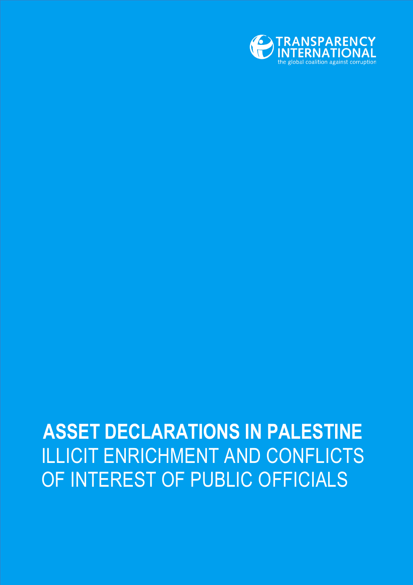

## **ASSET DECLARATIONS IN PALESTINE** ILLICIT ENRICHMENT AND CONFLICTS OF INTEREST OF PUBLIC OFFICIALS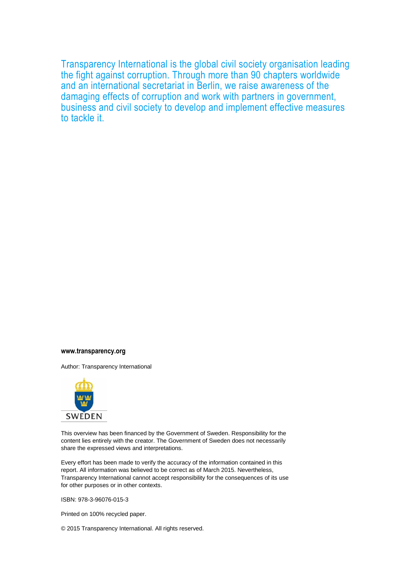Transparency International is the global civil society organisation leading the fight against corruption. Through more than 90 chapters worldwide and an international secretariat in Berlin, we raise awareness of the damaging effects of corruption and work with partners in government, business and civil society to develop and implement effective measures to tackle it.

#### **www.transparency.org**

Author: Transparency International



This overview has been financed by the Government of Sweden. Responsibility for the content lies entirely with the creator. The Government of Sweden does not necessarily share the expressed views and interpretations.

Every effort has been made to verify the accuracy of the information contained in this report. All information was believed to be correct as of March 2015. Nevertheless, Transparency International cannot accept responsibility for the consequences of its use for other purposes or in other contexts.

ISBN: 978-3-96076-015-3

Printed on 100% recycled paper.

© 2015 Transparency International. All rights reserved.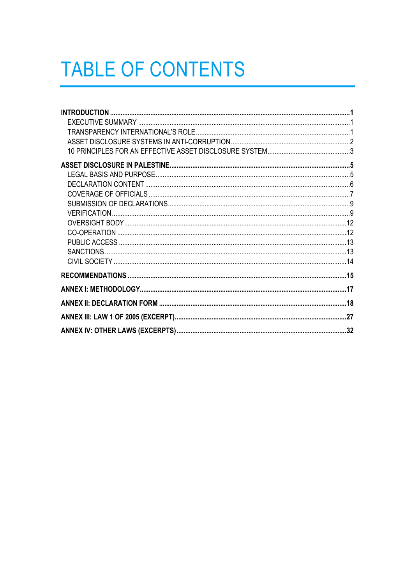# **TABLE OF CONTENTS**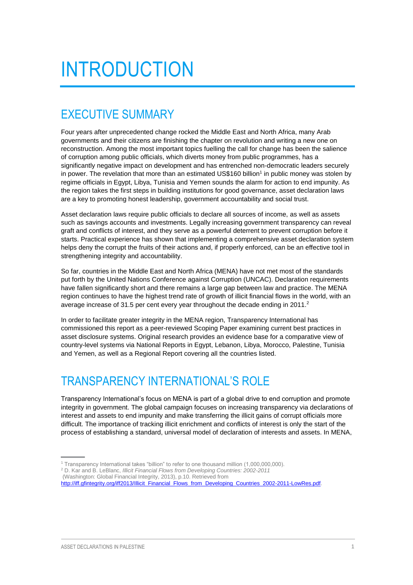# <span id="page-4-0"></span>INTRODUCTION

### <span id="page-4-1"></span>EXECUTIVE SUMMARY

Four years after unprecedented change rocked the Middle East and North Africa, many Arab governments and their citizens are finishing the chapter on revolution and writing a new one on reconstruction. Among the most important topics fuelling the call for change has been the salience of corruption among public officials, which diverts money from public programmes, has a significantly negative impact on development and has entrenched non-democratic leaders securely in power. The revelation that more than an estimated US\$160 billion<sup>1</sup> in public money was stolen by regime officials in Egypt, Libya, Tunisia and Yemen sounds the alarm for action to end impunity. As the region takes the first steps in building institutions for good governance, asset declaration laws are a key to promoting honest leadership, government accountability and social trust.

Asset declaration laws require public officials to declare all sources of income, as well as assets such as savings accounts and investments. Legally increasing government transparency can reveal graft and conflicts of interest, and they serve as a powerful deterrent to prevent corruption before it starts. Practical experience has shown that implementing a comprehensive asset declaration system helps deny the corrupt the fruits of their actions and, if properly enforced, can be an effective tool in strengthening integrity and accountability.

So far, countries in the Middle East and North Africa (MENA) have not met most of the standards put forth by the United Nations Conference against Corruption (UNCAC). Declaration requirements have fallen significantly short and there remains a large gap between law and practice. The MENA region continues to have the highest trend rate of growth of illicit financial flows in the world, with an average increase of 31.5 per cent every year throughout the decade ending in 2011.<sup>2</sup>

In order to facilitate greater integrity in the MENA region, Transparency International has commissioned this report as a peer-reviewed Scoping Paper examining current best practices in asset disclosure systems. Original research provides an evidence base for a comparative view of country-level systems via National Reports in Egypt, Lebanon, Libya, Morocco, Palestine, Tunisia and Yemen, as well as a Regional Report covering all the countries listed.

## <span id="page-4-2"></span>TRANSPARENCY INTERNATIONAL'S ROLE

Transparency International's focus on MENA is part of a global drive to end corruption and promote integrity in government. The global campaign focuses on increasing transparency via declarations of interest and assets to end impunity and make transferring the illicit gains of corrupt officials more difficult. The importance of tracking illicit enrichment and conflicts of interest is only the start of the process of establishing a standard, universal model of declaration of interests and assets. In MENA,

<sup>1</sup> Transparency International takes "billion" to refer to one thousand million (1,000,000,000).

<sup>2</sup> D. Kar and B. LeBlanc, *Illicit Financial Flows from Developing Countries: 2002-2011*

<sup>(</sup>Washington: Global Financial Integrity, 2013), p.10. Retrieved from

[http://iff.gfintegrity.org/iff2013/Illicit\\_Financial\\_Flows\\_from\\_Developing\\_Countries\\_2002-2011-LowRes.pdf.](http://iff.gfintegrity.org/iff2013/Illicit_Financial_Flows_from_Developing_Countries_2002-2011-LowRes.pdf)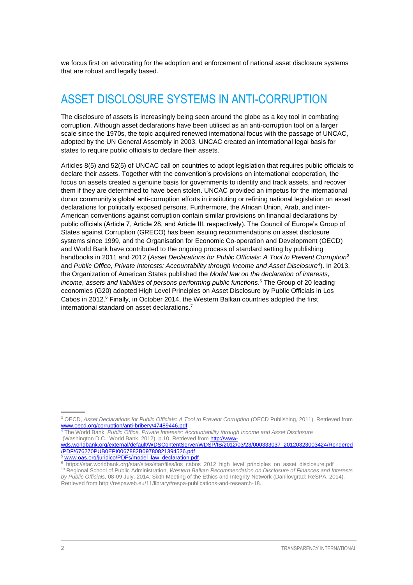we focus first on advocating for the adoption and enforcement of national asset disclosure systems that are robust and legally based.

## <span id="page-5-0"></span>ASSET DISCLOSURE SYSTEMS IN ANTI-CORRUPTION

The disclosure of assets is increasingly being seen around the globe as a key tool in combating corruption. Although asset declarations have been utilised as an anti-corruption tool on a larger scale since the 1970s, the topic acquired renewed international focus with the passage of UNCAC, adopted by the UN General Assembly in 2003. UNCAC created an international legal basis for states to require public officials to declare their assets.

Articles 8(5) and 52(5) of UNCAC call on countries to adopt legislation that requires public officials to declare their assets. Together with the convention's provisions on international cooperation, the focus on assets created a genuine basis for governments to identify and track assets, and recover them if they are determined to have been stolen. UNCAC provided an impetus for the international donor community's global anti-corruption efforts in instituting or refining national legislation on asset declarations for politically exposed persons. Furthermore, the African Union, Arab, and inter-American conventions against corruption contain similar provisions on financial declarations by public officials (Article 7, Article 28, and Article III, respectively). The Council of Europe's Group of States against Corruption (GRECO) has been issuing recommendations on asset disclosure systems since 1999, and the Organisation for Economic Co-operation and Development (OECD) and World Bank have contributed to the ongoing process of standard setting by publishing handbooks in 2011 and 2012 (*Asset Declarations for Public Officials: A Tool to Prevent Corruption*<sup>3</sup> and *Public Office, Private Interests: Accountability through Income and Asset Disclosure*<sup>4</sup> ). In 2013, the Organization of American States published the *Model law on the declaration of interests, income, assets and liabilities of persons performing public functions*. <sup>5</sup> The Group of 20 leading economies (G20) adopted High Level Principles on Asset Disclosure by Public Officials in Los Cabos in 2012.<sup>6</sup> Finally, in October 2014, the Western Balkan countries adopted the first international standard on asset declarations.<sup>7</sup>

[wds.worldbank.org/external/default/WDSContentServer/WDSP/IB/2012/03/23/000333037\\_20120323003424/Rendered](http://www-wds.worldbank.org/external/default/WDSContentServer/WDSP/IB/2012/03/23/000333037_20120323003424/Rendered/PDF/676270PUB0EPI0067882B09780821394526.pdf) [/PDF/676270PUB0EPI0067882B09780821394526.pdf](http://www-wds.worldbank.org/external/default/WDSContentServer/WDSP/IB/2012/03/23/000333037_20120323003424/Rendered/PDF/676270PUB0EPI0067882B09780821394526.pdf)

<sup>&</sup>lt;sup>3</sup> OECD, Asset Declarations for Public Officials: A Tool to Prevent Corruption (OECD Publishing, 2011). Retrieved from [www.oecd.org/corruption/anti-bribery/47489446.pdf](http://www.oecd.org/corruption/anti-bribery/47489446.pdf)

<sup>4</sup> The World Bank, *Public Office, Private Interests: Accountability through Income and Asset Disclosure* (Washington D.C.: World Bank, 2012), p.10. Retrieved from [http://www-](http://www-wds.worldbank.org/external/default/WDSContentServer/WDSP/IB/2012/03/23/000333037_20120323003424/Rendered/PDF/676270PUB0EPI0067882B09780821394526.pdf)

[www.oas.org/juridico/PDFs/model\\_law\\_declaration.pdf.](http://www.oas.org/juridico/PDFs/model_law_declaration.pdf) 6 https://star.worldbank.org/star/sites/star/files/los\_cabos\_2012\_high\_level\_principles\_on\_asset\_disclosure.pdf

<sup>13</sup> Regional School of Public Administration, *Western Balkan Recommendation on Disclosure of Finances and Interests by Public Officials,* 08-09 July, 2014. Sixth Meeting of the Ethics and Integrity Network (Danilovgrad: ReSPA, 2014). Retrieved from http://respaweb.eu/11/library#respa-publications-and-research-18.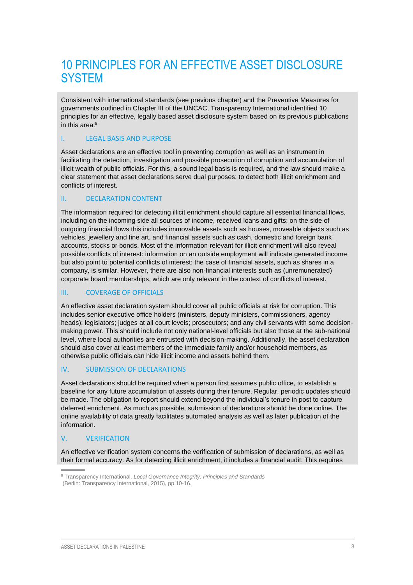## <span id="page-6-0"></span>10 PRINCIPLES FOR AN EFFECTIVE ASSET DISCLOSURE **SYSTEM**

Consistent with international standards (see previous chapter) and the Preventive Measures for governments outlined in Chapter III of the UNCAC, Transparency International identified 10 principles for an effective, legally based asset disclosure system based on its previous publications in this area: 8

#### I. LEGAL BASIS AND PURPOSE

Asset declarations are an effective tool in preventing corruption as well as an instrument in facilitating the detection, investigation and possible prosecution of corruption and accumulation of illicit wealth of public officials. For this, a sound legal basis is required, and the law should make a clear statement that asset declarations serve dual purposes: to detect both illicit enrichment and conflicts of interest.

#### II. DECLARATION CONTENT

The information required for detecting illicit enrichment should capture all essential financial flows, including on the incoming side all sources of income, received loans and gifts; on the side of outgoing financial flows this includes immovable assets such as houses, moveable objects such as vehicles, jewellery and fine art, and financial assets such as cash, domestic and foreign bank accounts, stocks or bonds. Most of the information relevant for illicit enrichment will also reveal possible conflicts of interest: information on an outside employment will indicate generated income but also point to potential conflicts of interest; the case of financial assets, such as shares in a company, is similar. However, there are also non-financial interests such as (unremunerated) corporate board memberships, which are only relevant in the context of conflicts of interest.

#### III. COVERAGE OF OFFICIALS

An effective asset declaration system should cover all public officials at risk for corruption. This includes senior executive office holders (ministers, deputy ministers, commissioners, agency heads); legislators; judges at all court levels; prosecutors; and any civil servants with some decisionmaking power. This should include not only national-level officials but also those at the sub-national level, where local authorities are entrusted with decision-making. Additionally, the asset declaration should also cover at least members of the immediate family and/or household members, as otherwise public officials can hide illicit income and assets behind them.

#### IV. SUBMISSION OF DECLARATIONS

Asset declarations should be required when a person first assumes public office, to establish a baseline for any future accumulation of assets during their tenure. Regular, periodic updates should be made. The obligation to report should extend beyond the individual's tenure in post to capture deferred enrichment. As much as possible, submission of declarations should be done online. The online availability of data greatly facilitates automated analysis as well as later publication of the information.

#### V. VERIFICATION

An effective verification system concerns the verification of submission of declarations, as well as their formal accuracy. As for detecting illicit enrichment, it includes a financial audit. This requires

<sup>8</sup> Transparency International, *Local Governance Integrity: Principles and Standards* (Berlin: Transparency International, 2015), pp.10-16.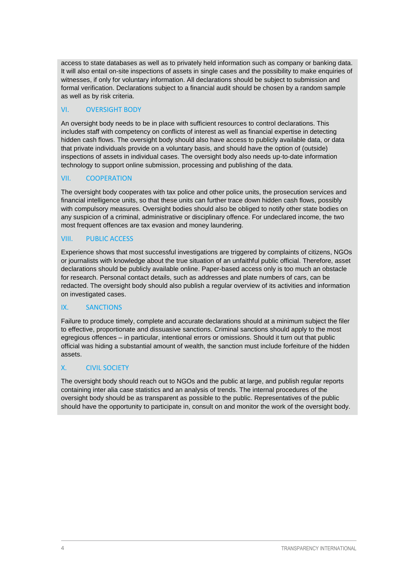access to state databases as well as to privately held information such as company or banking data. It will also entail on-site inspections of assets in single cases and the possibility to make enquiries of witnesses, if only for voluntary information. All declarations should be subject to submission and formal verification. Declarations subject to a financial audit should be chosen by a random sample as well as by risk criteria.

#### VI. OVERSIGHT BODY

An oversight body needs to be in place with sufficient resources to control declarations. This includes staff with competency on conflicts of interest as well as financial expertise in detecting hidden cash flows. The oversight body should also have access to publicly available data, or data that private individuals provide on a voluntary basis, and should have the option of (outside) inspections of assets in individual cases. The oversight body also needs up-to-date information technology to support online submission, processing and publishing of the data.

#### VII. COOPERATION

The oversight body cooperates with tax police and other police units, the prosecution services and financial intelligence units, so that these units can further trace down hidden cash flows, possibly with compulsory measures. Oversight bodies should also be obliged to notify other state bodies on any suspicion of a criminal, administrative or disciplinary offence. For undeclared income, the two most frequent offences are tax evasion and money laundering.

#### VIII. PUBLIC ACCESS

Experience shows that most successful investigations are triggered by complaints of citizens, NGOs or journalists with knowledge about the true situation of an unfaithful public official. Therefore, asset declarations should be publicly available online. Paper-based access only is too much an obstacle for research. Personal contact details, such as addresses and plate numbers of cars, can be redacted. The oversight body should also publish a regular overview of its activities and information on investigated cases.

#### IX. SANCTIONS

Failure to produce timely, complete and accurate declarations should at a minimum subject the filer to effective, proportionate and dissuasive sanctions. Criminal sanctions should apply to the most egregious offences – in particular, intentional errors or omissions. Should it turn out that public official was hiding a substantial amount of wealth, the sanction must include forfeiture of the hidden assets.

#### X. CIVIL SOCIETY

The oversight body should reach out to NGOs and the public at large, and publish regular reports containing inter alia case statistics and an analysis of trends. The internal procedures of the oversight body should be as transparent as possible to the public. Representatives of the public should have the opportunity to participate in, consult on and monitor the work of the oversight body.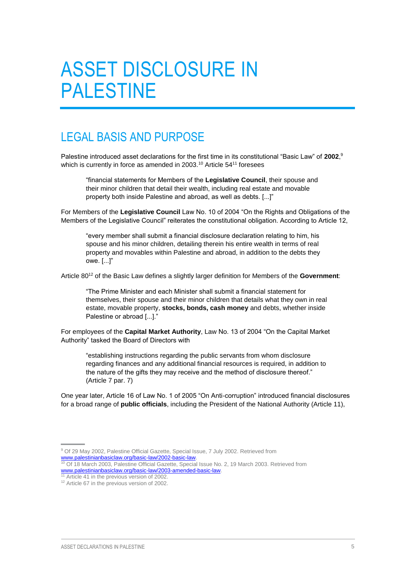## <span id="page-8-0"></span>ASSET DISCLOSURE IN PALESTINE

### <span id="page-8-1"></span>LEGAL BASIS AND PURPOSE

Palestine introduced asset declarations for the first time in its constitutional "Basic Law" of **2002**, 9 which is currently in force as amended in 2003.<sup>10</sup> Article 54<sup>11</sup> foresees

"financial statements for Members of the **Legislative Council**, their spouse and their minor children that detail their wealth, including real estate and movable property both inside Palestine and abroad, as well as debts. [...]"

For Members of the **Legislative Council** Law No. 10 of 2004 "On the Rights and Obligations of the Members of the Legislative Council" reiterates the constitutional obligation. According to Article 12,

"every member shall submit a financial disclosure declaration relating to him, his spouse and his minor children, detailing therein his entire wealth in terms of real property and movables within Palestine and abroad, in addition to the debts they owe. [...]"

Article 80<sup>12</sup> of the Basic Law defines a slightly larger definition for Members of the **Government**:

"The Prime Minister and each Minister shall submit a financial statement for themselves, their spouse and their minor children that details what they own in real estate, movable property, **stocks, bonds, cash money** and debts, whether inside Palestine or abroad [...]."

For employees of the **Capital Market Authority**, Law No. 13 of 2004 "On the Capital Market Authority" tasked the Board of Directors with

"establishing instructions regarding the public servants from whom disclosure regarding finances and any additional financial resources is required, in addition to the nature of the gifts they may receive and the method of disclosure thereof." (Article 7 par. 7)

One year later, Article 16 of Law No. 1 of 2005 "On Anti-corruption" introduced financial disclosures for a broad range of **public officials**, including the President of the National Authority (Article 11),

<sup>9</sup> Of 29 May 2002, Palestine Official Gazette, Special Issue, 7 July 2002. Retrieved from [www.palestinianbasiclaw.org/basic-law/2002-basic-law.](http://www.palestinianbasiclaw.org/basic-law/2002-basic-law)

<sup>10</sup> Of 18 March 2003, Palestine Official Gazette, Special Issue No. 2, 19 March 2003. Retrieved from [www.palestinianbasiclaw.org/basic-law/2003-amended-basic-law.](http://www.palestinianbasiclaw.org/basic-law/2003-amended-basic-law)

Article 41 in the previous version of 2002.

<sup>&</sup>lt;sup>12</sup> Article 67 in the previous version of 2002.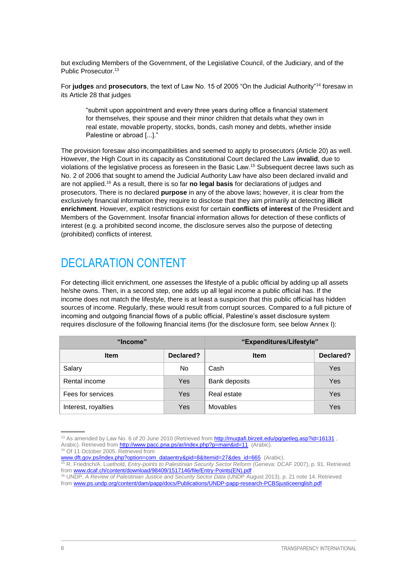but excluding Members of the Government, of the Legislative Council, of the Judiciary, and of the Public Prosecutor.<sup>13</sup>

For **judges** and **prosecutors**, the text of Law No. 15 of 2005 "On the Judicial Authority"<sup>14</sup> foresaw in its Article 28 that judges

"submit upon appointment and every three years during office a financial statement for themselves, their spouse and their minor children that details what they own in real estate, movable property, stocks, bonds, cash money and debts, whether inside Palestine or abroad [...]."

The provision foresaw also incompatibilities and seemed to apply to prosecutors (Article 20) as well. However, the High Court in its capacity as Constitutional Court declared the Law **invalid**, due to violations of the legislative process as foreseen in the Basic Law.<sup>15</sup> Subsequent decree laws such as No. 2 of 2006 that sought to amend the Judicial Authority Law have also been declared invalid and are not applied.<sup>16</sup> As a result, there is so far **no legal basis** for declarations of judges and prosecutors. There is no declared **purpose** in any of the above laws; however, it is clear from the exclusively financial information they require to disclose that they aim primarily at detecting **illicit enrichment**. However, explicit restrictions exist for certain **conflicts of interest** of the President and Members of the Government. Insofar financial information allows for detection of these conflicts of interest (e.g. a prohibited second income, the disclosure serves also the purpose of detecting (prohibited) conflicts of interest.

## <span id="page-9-0"></span>DECLARATION CONTENT

For detecting illicit enrichment, one assesses the lifestyle of a public official by adding up all assets he/she owns. Then, in a second step, one adds up all legal income a public official has. If the income does not match the lifestyle, there is at least a suspicion that this public official has hidden sources of income. Regularly, these would result from corrupt sources. Compared to a full picture of incoming and outgoing financial flows of a public official, Palestine's asset disclosure system requires disclosure of the following financial items (for the disclosure form, see below Annex I):

| "Income"             |           | "Expenditures/Lifestyle" |           |  |
|----------------------|-----------|--------------------------|-----------|--|
| <b>Item</b>          | Declared? | <b>Item</b>              | Declared? |  |
| Salary               | No        | Cash                     | Yes       |  |
| Rental income<br>Yes |           | Bank deposits            | Yes       |  |
| Fees for services    | Yes       | Real estate              | Yes       |  |
| Interest, royalties  | Yes       | Movables                 | Yes       |  |

<sup>13</sup> As amended by Law No. 6 of 20 June 2010 (Retrieved fro[m http://muqtafi.birzeit.edu/pg/getleg.asp?id=16131](http://muqtafi.birzeit.edu/pg/getleg.asp?id=16131), Arabic). Retrieved fro[m http://www.pacc.pna.ps/ar/index.php?p=main&id=11](http://www.pacc.pna.ps/ar/index.php?p=main&id=11) (Arabic).

<sup>&</sup>lt;sup>4</sup> Of 11 October 2005. Retrieved from

[www.dft.gov.ps/index.php?option=com\\_dataentry&pid=8&Itemid=27&des\\_id=665](http://www.dft.gov.ps/index.php?option=com_dataentry&pid=8&Itemid=27&des_id=665) (Arabic).

<sup>15</sup> R. Friedrich/A. Luethold, *Entry-points to Palestinian Security Sector Reform* (Geneva: DCAF 2007), p. 91. Retrieved from [www.dcaf.ch/content/download/98409/1517146/file/Entry-Points\(EN\).pdf](http://www.dcaf.ch/content/download/98409/1517146/file/Entry-Points(EN).pdf)

<sup>16</sup> UNDP, *A Review of Palestinian Justice and Security Sector Data* (UNDP August 2013), p. 21 note 14. Retrieved from [www.ps.undp.org/content/dam/papp/docs/Publications/UNDP-papp-research-PCBSjusticeenglish.pdf.](http://www.ps.undp.org/content/dam/papp/docs/Publications/UNDP-papp-research-PCBSjusticeenglish.pdf)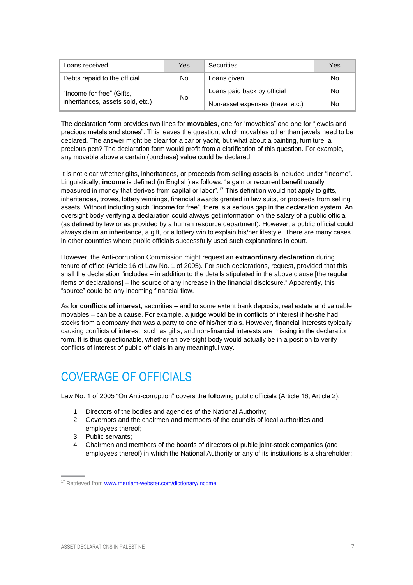| Loans received<br>Securities<br>Yes                           |     | Yes                              |     |
|---------------------------------------------------------------|-----|----------------------------------|-----|
| Debts repaid to the official                                  | No. | Loans given                      |     |
| "Income for free" (Gifts,<br>inheritances, assets sold, etc.) | No. | Loans paid back by official      | No. |
|                                                               |     | Non-asset expenses (travel etc.) | No  |

The declaration form provides two lines for **movables**, one for "movables" and one for "jewels and precious metals and stones". This leaves the question, which movables other than jewels need to be declared. The answer might be clear for a car or yacht, but what about a painting, furniture, a precious pen? The declaration form would profit from a clarification of this question. For example, any movable above a certain (purchase) value could be declared.

It is not clear whether gifts, inheritances, or proceeds from selling assets is included under "income". Linguistically, **income** is defined (in English) as follows: "a gain or recurrent benefit usually measured in money that derives from capital or labor".<sup>17</sup> This definition would not apply to gifts, inheritances, troves, lottery winnings, financial awards granted in law suits, or proceeds from selling assets. Without including such "income for free", there is a serious gap in the declaration system. An oversight body verifying a declaration could always get information on the salary of a public official (as defined by law or as provided by a human resource department). However, a public official could always claim an inheritance, a gift, or a lottery win to explain his/her lifestyle. There are many cases in other countries where public officials successfully used such explanations in court.

However, the Anti-corruption Commission might request an **extraordinary declaration** during tenure of office (Article 16 of Law No. 1 of 2005). For such declarations, request, provided that this shall the declaration "includes – in addition to the details stipulated in the above clause [the regular items of declarations] – the source of any increase in the financial disclosure." Apparently, this "source" could be any incoming financial flow.

As for **conflicts of interest**, securities – and to some extent bank deposits, real estate and valuable movables – can be a cause. For example, a judge would be in conflicts of interest if he/she had stocks from a company that was a party to one of his/her trials. However, financial interests typically causing conflicts of interest, such as gifts, and non-financial interests are missing in the declaration form. It is thus questionable, whether an oversight body would actually be in a position to verify conflicts of interest of public officials in any meaningful way.

## <span id="page-10-0"></span>COVERAGE OF OFFICIALS

Law No. 1 of 2005 "On Anti-corruption" covers the following public officials (Article 16, Article 2):

- 1. Directors of the bodies and agencies of the National Authority;
- 2. Governors and the chairmen and members of the councils of local authorities and employees thereof;
- 3. Public servants;
- 4. Chairmen and members of the boards of directors of public joint-stock companies (and employees thereof) in which the National Authority or any of its institutions is a shareholder;

<sup>&</sup>lt;sup>17</sup> Retrieved from **www.merriam-webster.com/dictionary/income**.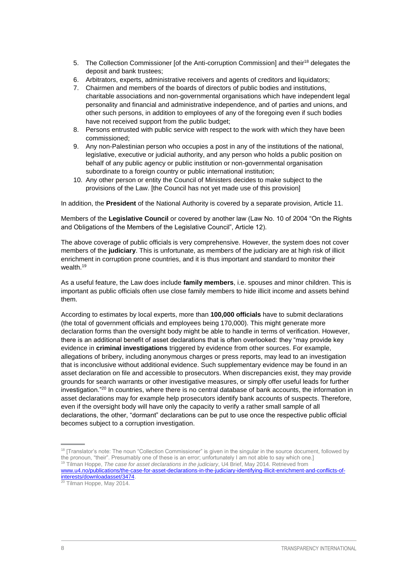- 5. The Collection Commissioner [of the Anti-corruption Commission] and their<sup>18</sup> delegates the deposit and bank trustees;
- 6. Arbitrators, experts, administrative receivers and agents of creditors and liquidators;
- 7. Chairmen and members of the boards of directors of public bodies and institutions, charitable associations and non-governmental organisations which have independent legal personality and financial and administrative independence, and of parties and unions, and other such persons, in addition to employees of any of the foregoing even if such bodies have not received support from the public budget;
- 8. Persons entrusted with public service with respect to the work with which they have been commissioned;
- 9. Any non-Palestinian person who occupies a post in any of the institutions of the national, legislative, executive or judicial authority, and any person who holds a public position on behalf of any public agency or public institution or non-governmental organisation subordinate to a foreign country or public international institution;
- 10. Any other person or entity the Council of Ministers decides to make subject to the provisions of the Law. [the Council has not yet made use of this provision]

In addition, the **President** of the National Authority is covered by a separate provision, Article 11.

Members of the **Legislative Council** or covered by another law (Law No. 10 of 2004 "On the Rights and Obligations of the Members of the Legislative Council", Article 12).

The above coverage of public officials is very comprehensive. However, the system does not cover members of the **judiciary**. This is unfortunate, as members of the judiciary are at high risk of illicit enrichment in corruption prone countries, and it is thus important and standard to monitor their wealth.<sup>19</sup>

As a useful feature, the Law does include **family members**, i.e. spouses and minor children. This is important as public officials often use close family members to hide illicit income and assets behind them.

According to estimates by local experts, more than **100,000 officials** have to submit declarations (the total of government officials and employees being 170,000). This might generate more declaration forms than the oversight body might be able to handle in terms of verification. However, there is an additional benefit of asset declarations that is often overlooked: they "may provide key evidence in **criminal investigations** triggered by evidence from other sources. For example, allegations of bribery, including anonymous charges or press reports, may lead to an investigation that is inconclusive without additional evidence. Such supplementary evidence may be found in an asset declaration on file and accessible to prosecutors. When discrepancies exist, they may provide grounds for search warrants or other investigative measures, or simply offer useful leads for further investigation."<sup>20</sup> In countries, where there is no central database of bank accounts, the information in asset declarations may for example help prosecutors identify bank accounts of suspects. Therefore, even if the oversight body will have only the capacity to verify a rather small sample of all declarations, the other, "dormant" declarations can be put to use once the respective public official becomes subject to a corruption investigation.

<sup>&</sup>lt;sup>18</sup> [Translator's note: The noun "Collection Commissioner" is given in the singular in the source document, followed by the pronoun, "their". Presumably one of these is an error; unfortunately I am not able to say which one.] <sup>19</sup> Tilman Hoppe, *The case for asset declarations in the judiciary*, U4 Brief, May 2014. Retrieved from

[www.u4.no/publications/the-case-for-asset-declarations-in-the-judiciary-identifying-illicit-enrichment-and-conflicts-of](http://www.u4.no/publications/the-case-for-asset-declarations-in-the-judiciary-identifying-illicit-enrichment-and-conflicts-of-interests/downloadasset/3474)[interests/downloadasset/3474.](http://www.u4.no/publications/the-case-for-asset-declarations-in-the-judiciary-identifying-illicit-enrichment-and-conflicts-of-interests/downloadasset/3474)

<sup>&</sup>lt;sup>20</sup> Tilman Hoppe, May 2014.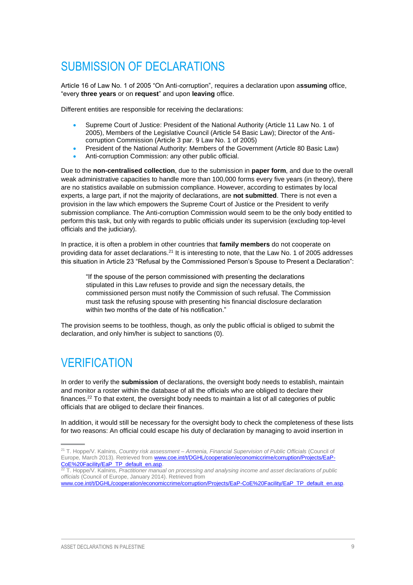## <span id="page-12-0"></span>SUBMISSION OF DECLARATIONS

Article 16 of Law No. 1 of 2005 "On Anti-corruption", requires a declaration upon a**ssuming** office, "every **three years** or on **request**" and upon **leaving** office.

Different entities are responsible for receiving the declarations:

- Supreme Court of Justice: President of the National Authority (Article 11 Law No. 1 of 2005), Members of the Legislative Council (Article 54 Basic Law); Director of the Anticorruption Commission (Article 3 par. 9 Law No. 1 of 2005)
- President of the National Authority: Members of the Government (Article 80 Basic Law)
- Anti-corruption Commission: any other public official.

Due to the **non-centralised collection**, due to the submission in **paper form**, and due to the overall weak administrative capacities to handle more than 100,000 forms every five years (in theory), there are no statistics available on submission compliance. However, according to estimates by local experts, a large part, if not the majority of declarations, are **not submitted**. There is not even a provision in the law which empowers the Supreme Court of Justice or the President to verify submission compliance. The Anti-corruption Commission would seem to be the only body entitled to perform this task, but only with regards to public officials under its supervision (excluding top-level officials and the judiciary).

In practice, it is often a problem in other countries that **family members** do not cooperate on providing data for asset declarations.<sup>21</sup> It is interesting to note, that the Law No. 1 of 2005 addresses this situation in Article 23 "Refusal by the Commissioned Person's Spouse to Present a Declaration":

"If the spouse of the person commissioned with presenting the declarations stipulated in this Law refuses to provide and sign the necessary details, the commissioned person must notify the Commission of such refusal. The Commission must task the refusing spouse with presenting his financial disclosure declaration within two months of the date of his notification."

The provision seems to be toothless, though, as only the public official is obliged to submit the declaration, and only him/her is subject to sanctions [\(0\)](#page-16-1).

## <span id="page-12-1"></span>**VERIFICATION**

In order to verify the **submission** of declarations, the oversight body needs to establish, maintain and monitor a roster within the database of all the officials who are obliged to declare their finances.<sup>22</sup> To that extent, the oversight body needs to maintain a list of all categories of public officials that are obliged to declare their finances.

In addition, it would still be necessary for the oversight body to check the completeness of these lists for two reasons: An official could escape his duty of declaration by managing to avoid insertion in

<sup>21</sup> T. Hoppe/V. Kalnins, *Country risk assessment – Armenia, Financial Supervision of Public Officials* (Council of Europe, March 2013). Retrieved from [www.coe.int/t/DGHL/cooperation/economiccrime/corruption/Projects/EaP-](http://www.coe.int/t/DGHL/cooperation/economiccrime/corruption/Projects/EaP-CoE%20Facility/EaP_TP_default_en.asp)[CoE%20Facility/EaP\\_TP\\_default\\_en.asp.](http://www.coe.int/t/DGHL/cooperation/economiccrime/corruption/Projects/EaP-CoE%20Facility/EaP_TP_default_en.asp) 

<sup>22</sup> T. Hoppe/V. Kalnins, *Practitioner manual on processing and analysing income and asset declarations of public officials* (Council of Europe, January 2014). Retrieved from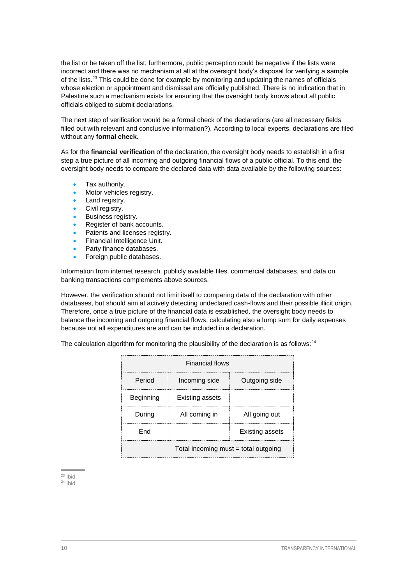the list or be taken off the list; furthermore, public perception could be negative if the lists were incorrect and there was no mechanism at all at the oversight body's disposal for verifying a sample of the lists.<sup>23</sup> This could be done for example by monitoring and updating the names of officials whose election or appointment and dismissal are officially published. There is no indication that in Palestine such a mechanism exists for ensuring that the oversight body knows about all public officials obliged to submit declarations.

The next step of verification would be a formal check of the declarations (are all necessary fields filled out with relevant and conclusive information?). According to local experts, declarations are filed without any **formal check**.

As for the **financial verification** of the declaration, the oversight body needs to establish in a first step a true picture of all incoming and outgoing financial flows of a public official. To this end, the oversight body needs to compare the declared data with data available by the following sources:

- Tax authority.
- Motor vehicles registry.
- Land registry.
- Civil registry.
- Business registry.
- Register of bank accounts.
- Patents and licenses registry.
- Financial Intelligence Unit.
- Party finance databases.
- Foreign public databases.

Information from internet research, publicly available files, commercial databases, and data on banking transactions complements above sources.

However, the verification should not limit itself to comparing data of the declaration with other databases, but should aim at actively detecting undeclared cash-flows and their possible illicit origin. Therefore, once a true picture of the financial data is established, the oversight body needs to balance the incoming and outgoing financial flows, calculating also a lump sum for daily expenses because not all expenditures are and can be included in a declaration.

The calculation algorithm for monitoring the plausibility of the declaration is as follows: $24$ 

| <b>Financial flows</b>               |               |  |  |  |  |
|--------------------------------------|---------------|--|--|--|--|
| Period                               | Outgoing side |  |  |  |  |
| Beginning                            |               |  |  |  |  |
| During                               | All going out |  |  |  |  |
| Fnd<br><b>Existing assets</b>        |               |  |  |  |  |
| Total incoming must = total outgoing |               |  |  |  |  |

 $23$  Ibid.

 $24$  Ibid.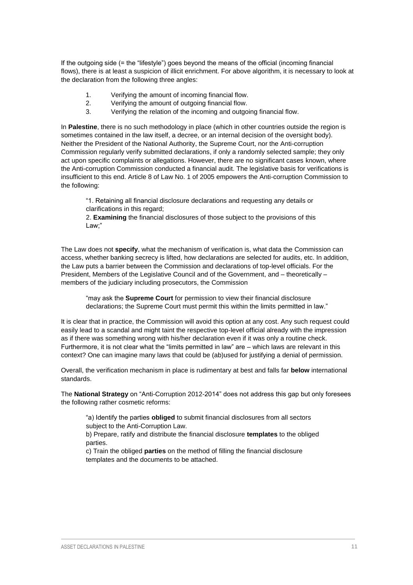If the outgoing side (= the "lifestyle") goes beyond the means of the official (incoming financial flows), there is at least a suspicion of illicit enrichment. For above algorithm, it is necessary to look at the declaration from the following three angles:

- 1. Verifying the amount of incoming financial flow.
- 2. Verifying the amount of outgoing financial flow.
- 3. Verifying the relation of the incoming and outgoing financial flow.

In **Palestine**, there is no such methodology in place (which in other countries outside the region is sometimes contained in the law itself, a decree, or an internal decision of the oversight body). Neither the President of the National Authority, the Supreme Court, nor the Anti-corruption Commission regularly verify submitted declarations, if only a randomly selected sample; they only act upon specific complaints or allegations. However, there are no significant cases known, where the Anti-corruption Commission conducted a financial audit. The legislative basis for verifications is insufficient to this end. Article 8 of Law No. 1 of 2005 empowers the Anti-corruption Commission to the following:

"1. Retaining all financial disclosure declarations and requesting any details or clarifications in this regard;

2. **Examining** the financial disclosures of those subject to the provisions of this Law;"

The Law does not **specify**, what the mechanism of verification is, what data the Commission can access, whether banking secrecy is lifted, how declarations are selected for audits, etc. In addition, the Law puts a barrier between the Commission and declarations of top-level officials. For the President, Members of the Legislative Council and of the Government, and – theoretically – members of the judiciary including prosecutors, the Commission

"may ask the **Supreme Court** for permission to view their financial disclosure declarations; the Supreme Court must permit this within the limits permitted in law."

It is clear that in practice, the Commission will avoid this option at any cost. Any such request could easily lead to a scandal and might taint the respective top-level official already with the impression as if there was something wrong with his/her declaration even if it was only a routine check. Furthermore, it is not clear what the "limits permitted in law" are – which laws are relevant in this context? One can imagine many laws that could be (ab)used for justifying a denial of permission.

Overall, the verification mechanism in place is rudimentary at best and falls far **below** international standards.

The **National Strategy** on "Anti-Corruption 2012-2014" does not address this gap but only foresees the following rather cosmetic reforms:

"a) Identify the parties **obliged** to submit financial disclosures from all sectors subject to the Anti-Corruption Law.

b) Prepare, ratify and distribute the financial disclosure **templates** to the obliged parties.

c) Train the obliged **parties** on the method of filling the financial disclosure templates and the documents to be attached.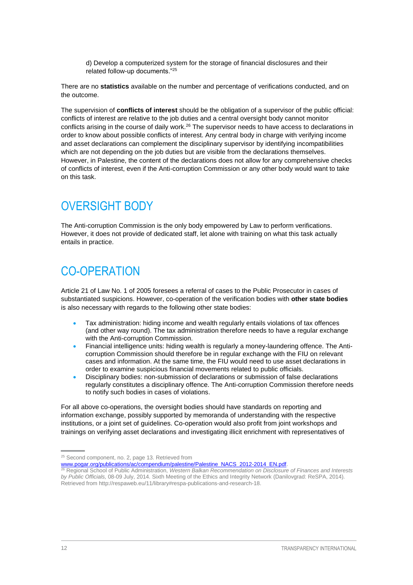d) Develop a computerized system for the storage of financial disclosures and their related follow-up documents."<sup>25</sup>

There are no **statistics** available on the number and percentage of verifications conducted, and on the outcome.

The supervision of **conflicts of interest** should be the obligation of a supervisor of the public official: conflicts of interest are relative to the job duties and a central oversight body cannot monitor conflicts arising in the course of daily work.<sup>26</sup> The supervisor needs to have access to declarations in order to know about possible conflicts of interest. Any central body in charge with verifying income and asset declarations can complement the disciplinary supervisor by identifying incompatibilities which are not depending on the job duties but are visible from the declarations themselves. However, in Palestine, the content of the declarations does not allow for any comprehensive checks of conflicts of interest, even if the Anti-corruption Commission or any other body would want to take on this task.

## <span id="page-15-0"></span>OVERSIGHT BODY

The Anti-corruption Commission is the only body empowered by Law to perform verifications. However, it does not provide of dedicated staff, let alone with training on what this task actually entails in practice.

## <span id="page-15-1"></span>CO-OPERATION

Article 21 of Law No. 1 of 2005 foresees a referral of cases to the Public Prosecutor in cases of substantiated suspicions. However, co-operation of the verification bodies with **other state bodies** is also necessary with regards to the following other state bodies:

- Tax administration: hiding income and wealth regularly entails violations of tax offences (and other way round). The tax administration therefore needs to have a regular exchange with the Anti-corruption Commission.
- Financial intelligence units: hiding wealth is regularly a money-laundering offence. The Anticorruption Commission should therefore be in regular exchange with the FIU on relevant cases and information. At the same time, the FIU would need to use asset declarations in order to examine suspicious financial movements related to public officials.
- Disciplinary bodies: non-submission of declarations or submission of false declarations regularly constitutes a disciplinary offence. The Anti-corruption Commission therefore needs to notify such bodies in cases of violations.

For all above co-operations, the oversight bodies should have standards on reporting and information exchange, possibly supported by memoranda of understanding with the respective institutions, or a joint set of guidelines. Co-operation would also profit from joint workshops and trainings on verifying asset declarations and investigating illicit enrichment with representatives of

<sup>&</sup>lt;sup>25</sup> Second component, no. 2, page 13. Retrieved from

www.pogar.org/publications/ac/compendium/palestine/Palestine\_NACS\_2012-2014\_EN.pdf.

<sup>26</sup> Regional School of Public Administration, *Western Balkan Recommendation on Disclosure of Finances and Interests by Public Officials,* 08-09 July, 2014. Sixth Meeting of the Ethics and Integrity Network (Danilovgrad: ReSPA, 2014). Retrieved from http://respaweb.eu/11/library#respa-publications-and-research-18.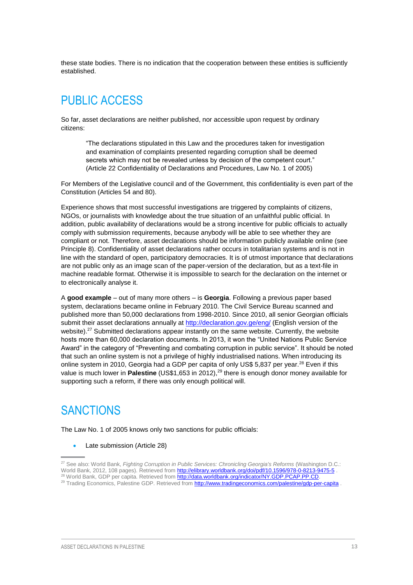these state bodies. There is no indication that the cooperation between these entities is sufficiently established.

## <span id="page-16-0"></span>PUBLIC ACCESS

So far, asset declarations are neither published, nor accessible upon request by ordinary citizens:

"The declarations stipulated in this Law and the procedures taken for investigation and examination of complaints presented regarding corruption shall be deemed secrets which may not be revealed unless by decision of the competent court." (Article 22 Confidentiality of Declarations and Procedures, Law No. 1 of 2005)

For Members of the Legislative council and of the Government, this confidentiality is even part of the Constitution (Articles 54 and 80).

Experience shows that most successful investigations are triggered by complaints of citizens, NGOs, or journalists with knowledge about the true situation of an unfaithful public official. In addition, public availability of declarations would be a strong incentive for public officials to actually comply with submission requirements, because anybody will be able to see whether they are compliant or not. Therefore, asset declarations should be information publicly available online (see Principle 8). Confidentiality of asset declarations rather occurs in totalitarian systems and is not in line with the standard of open, participatory democracies. It is of utmost importance that declarations are not public only as an image scan of the paper-version of the declaration, but as a text-file in machine readable format. Otherwise it is impossible to search for the declaration on the internet or to electronically analyse it.

A **good example** – out of many more others – is **Georgia**. Following a previous paper based system, declarations became online in February 2010. The Civil Service Bureau scanned and published more than 50,000 declarations from 1998-2010. Since 2010, all senior Georgian officials submit their asset declarations annually at<http://declaration.gov.ge/eng/> (English version of the website).<sup>27</sup> Submitted declarations appear instantly on the same website. Currently, the website hosts more than 60,000 declaration documents. In 2013, it won the "United Nations Public Service Award" in the category of "Preventing and combating corruption in public service". It should be noted that such an online system is not a privilege of highly industrialised nations. When introducing its online system in 2010, Georgia had a GDP per capita of only US\$ 5,837 per year.<sup>28</sup> Even if this value is much lower in **Palestine** (US\$1,653 in 2012),<sup>29</sup> there is enough donor money available for supporting such a reform, if there was only enough political will.

### <span id="page-16-1"></span>**SANCTIONS**

The Law No. 1 of 2005 knows only two sanctions for public officials:

#### • Late submission (Article 28)

<sup>27</sup> See also: World Bank, *Fighting Corruption in Public Services: Chronicling Georgia's Reforms* (Washington D.C.: World Bank, 2012, 108 pages). Retrieved from<http://elibrary.worldbank.org/doi/pdf/10.1596/978-0-8213-9475-5> 28 World Bank, GDP per capita. Retrieved from http://data.worldbank.org/indicator/NY.GDP.PCAP.PP.CD.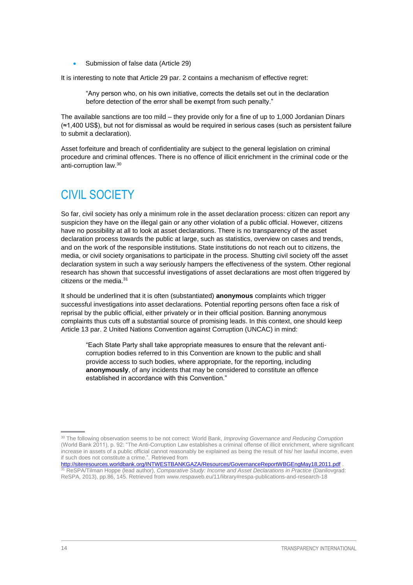Submission of false data (Article 29)

It is interesting to note that Article 29 par. 2 contains a mechanism of effective regret:

"Any person who, on his own initiative, corrects the details set out in the declaration before detection of the error shall be exempt from such penalty."

The available sanctions are too mild – they provide only for a fine of up to 1,000 Jordanian Dinars (≈1,400 US\$), but not for dismissal as would be required in serious cases (such as persistent failure to submit a declaration).

Asset forfeiture and breach of confidentiality are subject to the general legislation on criminal procedure and criminal offences. There is no offence of illicit enrichment in the criminal code or the anti-corruption law.<sup>30</sup>

## <span id="page-17-0"></span>CIVIL SOCIETY

So far, civil society has only a minimum role in the asset declaration process: citizen can report any suspicion they have on the illegal gain or any other violation of a public official. However, citizens have no possibility at all to look at asset declarations. There is no transparency of the asset declaration process towards the public at large, such as statistics, overview on cases and trends, and on the work of the responsible institutions. State institutions do not reach out to citizens, the media, or civil society organisations to participate in the process. Shutting civil society off the asset declaration system in such a way seriously hampers the effectiveness of the system. Other regional research has shown that successful investigations of asset declarations are most often triggered by citizens or the media.<sup>31</sup>

It should be underlined that it is often (substantiated) **anonymous** complaints which trigger successful investigations into asset declarations. Potential reporting persons often face a risk of reprisal by the public official, either privately or in their official position. Banning anonymous complaints thus cuts off a substantial source of promising leads. In this context, one should keep Article 13 par. 2 United Nations Convention against Corruption (UNCAC) in mind:

"Each State Party shall take appropriate measures to ensure that the relevant anticorruption bodies referred to in this Convention are known to the public and shall provide access to such bodies, where appropriate, for the reporting, including **anonymously**, of any incidents that may be considered to constitute an offence established in accordance with this Convention."

<sup>30</sup> The following observation seems to be not correct: World Bank, *Improving Governance and Reducing Corruption*  (World Bank 2011), p. 92: "The Anti-Corruption Law establishes a criminal offense of illicit enrichment, where significant increase in assets of a public official cannot reasonably be explained as being the result of his/ her lawful income, even if such does not constitute a crime.". Retrieved from

<http://siteresources.worldbank.org/INTWESTBANKGAZA/Resources/GovernanceReportWBGEngMay18,2011.pdf> . <sup>31</sup> ReSPA/Tilman Hoppe (lead author), *Comparative Study: Income and Asset Declarations in Practice* (Danilovgrad: ReSPA, 2013), pp.86, 145. Retrieved from www.respaweb.eu/11/library#respa-publications-and-research-18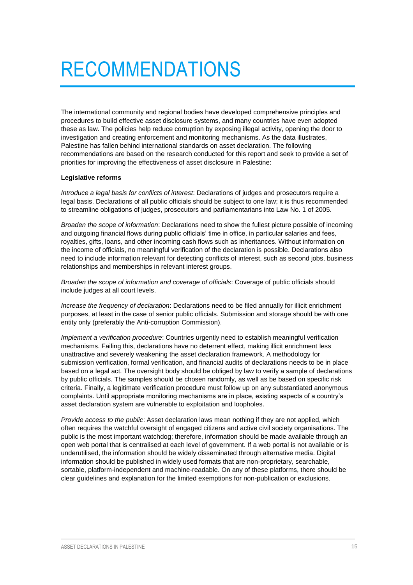## <span id="page-18-0"></span>RECOMMENDATIONS

The international community and regional bodies have developed comprehensive principles and procedures to build effective asset disclosure systems, and many countries have even adopted these as law. The policies help reduce corruption by exposing illegal activity, opening the door to investigation and creating enforcement and monitoring mechanisms. As the data illustrates, Palestine has fallen behind international standards on asset declaration. The following recommendations are based on the research conducted for this report and seek to provide a set of priorities for improving the effectiveness of asset disclosure in Palestine:

#### **Legislative reforms**

*Introduce a legal basis for conflicts of interest*: Declarations of judges and prosecutors require a legal basis. Declarations of all public officials should be subject to one law; it is thus recommended to streamline obligations of judges, prosecutors and parliamentarians into Law No. 1 of 2005.

*Broaden the scope of information*: Declarations need to show the fullest picture possible of incoming and outgoing financial flows during public officials' time in office, in particular salaries and fees, royalties, gifts, loans, and other incoming cash flows such as inheritances. Without information on the income of officials, no meaningful verification of the declaration is possible. Declarations also need to include information relevant for detecting conflicts of interest, such as second jobs, business relationships and memberships in relevant interest groups.

*Broaden the scope of information and coverage of officials*: Coverage of public officials should include judges at all court levels.

*Increase the frequency of declaration*: Declarations need to be filed annually for illicit enrichment purposes, at least in the case of senior public officials. Submission and storage should be with one entity only (preferably the Anti-corruption Commission).

*Implement a verification procedure*: Countries urgently need to establish meaningful verification mechanisms. Failing this, declarations have no deterrent effect, making illicit enrichment less unattractive and severely weakening the asset declaration framework. A methodology for submission verification, formal verification, and financial audits of declarations needs to be in place based on a legal act. The oversight body should be obliged by law to verify a sample of declarations by public officials. The samples should be chosen randomly, as well as be based on specific risk criteria. Finally, a legitimate verification procedure must follow up on any substantiated anonymous complaints. Until appropriate monitoring mechanisms are in place, existing aspects of a country's asset declaration system are vulnerable to exploitation and loopholes.

*Provide access to the public*: Asset declaration laws mean nothing if they are not applied, which often requires the watchful oversight of engaged citizens and active civil society organisations. The public is the most important watchdog; therefore, information should be made available through an open web portal that is centralised at each level of government. If a web portal is not available or is underutilised, the information should be widely disseminated through alternative media. Digital information should be published in widely used formats that are non-proprietary, searchable, sortable, platform-independent and machine-readable. On any of these platforms, there should be clear guidelines and explanation for the limited exemptions for non-publication or exclusions.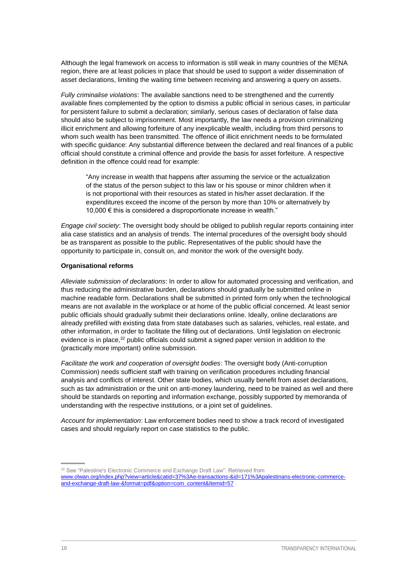Although the legal framework on access to information is still weak in many countries of the MENA region, there are at least policies in place that should be used to support a wider dissemination of asset declarations, limiting the waiting time between receiving and answering a query on assets.

*Fully criminalise violations*: The available sanctions need to be strengthened and the currently available fines complemented by the option to dismiss a public official in serious cases, in particular for persistent failure to submit a declaration; similarly, serious cases of declaration of false data should also be subject to imprisonment. Most importantly, the law needs a provision criminalizing illicit enrichment and allowing forfeiture of any inexplicable wealth, including from third persons to whom such wealth has been transmitted. The offence of illicit enrichment needs to be formulated with specific guidance: Any substantial difference between the declared and real finances of a public official should constitute a criminal offence and provide the basis for asset forfeiture. A respective definition in the offence could read for example:

"Any increase in wealth that happens after assuming the service or the actualization of the status of the person subject to this law or his spouse or minor children when it is not proportional with their resources as stated in his/her asset declaration. If the expenditures exceed the income of the person by more than 10% or alternatively by 10,000 € this is considered a disproportionate increase in wealth."

*Engage civil society*: The oversight body should be obliged to publish regular reports containing inter alia case statistics and an analysis of trends. The internal procedures of the oversight body should be as transparent as possible to the public. Representatives of the public should have the opportunity to participate in, consult on, and monitor the work of the oversight body.

#### **Organisational reforms**

*Alleviate submission of declarations*: In order to allow for automated processing and verification, and thus reducing the administrative burden, declarations should gradually be submitted online in machine readable form. Declarations shall be submitted in printed form only when the technological means are not available in the workplace or at home of the public official concerned. At least senior public officials should gradually submit their declarations online. Ideally, online declarations are already prefilled with existing data from state databases such as salaries, vehicles, real estate, and other information, in order to facilitate the filling out of declarations. Until legislation on electronic evidence is in place,<sup>32</sup> public officials could submit a signed paper version in addition to the (practically more important) online submission.

*Facilitate the work and cooperation of oversight bodies*: The oversight body (Anti-corruption Commission) needs sufficient staff with training on verification procedures including financial analysis and conflicts of interest. Other state bodies, which usually benefit from asset declarations, such as tax administration or the unit on anti-money laundering, need to be trained as well and there should be standards on reporting and information exchange, possibly supported by memoranda of understanding with the respective institutions, or a joint set of guidelines.

*Account for implementation*: Law enforcement bodies need to show a track record of investigated cases and should regularly report on case statistics to the public.

<sup>&</sup>lt;sup>32</sup> See "Palestine's Electronic Commerce and Exchange Draft Law". Retrieved from [www.olwan.org/index.php?view=article&catid=37%3Ae-transactions-&id=171%3Apalestinans-electronic-commerce](http://www.olwan.org/index.php?view=article&catid=37%3Ae-transactions-&id=171%3Apalestinans-electronic-commerce-and-exchange-draft-law-&format=pdf&option=com_content&Itemid=57)[and-exchange-draft-law-&format=pdf&option=com\\_content&Itemid=57](http://www.olwan.org/index.php?view=article&catid=37%3Ae-transactions-&id=171%3Apalestinans-electronic-commerce-and-exchange-draft-law-&format=pdf&option=com_content&Itemid=57) .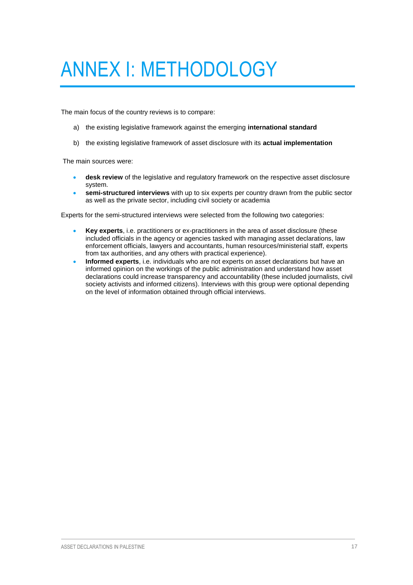# <span id="page-20-0"></span>ANNEX I: METHODOLOGY

The main focus of the country reviews is to compare:

- a) the existing legislative framework against the emerging **international standard**
- b) the existing legislative framework of asset disclosure with its **actual implementation**

The main sources were:

- **desk review** of the legislative and regulatory framework on the respective asset disclosure system.
- **semi-structured interviews** with up to six experts per country drawn from the public sector as well as the private sector, including civil society or academia

Experts for the semi-structured interviews were selected from the following two categories:

- **Key experts**, i.e. practitioners or ex-practitioners in the area of asset disclosure (these included officials in the agency or agencies tasked with managing asset declarations, law enforcement officials, lawyers and accountants, human resources/ministerial staff, experts from tax authorities, and any others with practical experience).
- **Informed experts**, i.e. individuals who are not experts on asset declarations but have an informed opinion on the workings of the public administration and understand how asset declarations could increase transparency and accountability (these included journalists, civil society activists and informed citizens). Interviews with this group were optional depending on the level of information obtained through official interviews.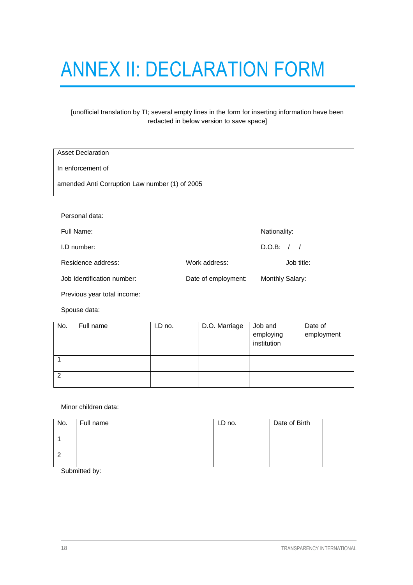# <span id="page-21-0"></span>ANNEX II: DECLARATION FORM

#### [unofficial translation by TI; several empty lines in the form for inserting information have been redacted in below version to save space]

| <b>Asset Declaration</b>                       |               |                        |  |
|------------------------------------------------|---------------|------------------------|--|
| In enforcement of                              |               |                        |  |
| amended Anti Corruption Law number (1) of 2005 |               |                        |  |
|                                                |               |                        |  |
| Personal data:                                 |               |                        |  |
| Full Name:                                     |               | Nationality:           |  |
| I.D number:                                    |               | D.O.B: /<br>$\sqrt{ }$ |  |
| Residence address:                             | Work address: | Job title:             |  |

| Job Identification number: | Date of employment: | Monthly Salary: |
|----------------------------|---------------------|-----------------|

Previous year total income:

Spouse data:

| No. | Full name | I.D no. | D.O. Marriage | Job and<br>employing<br>institution | Date of<br>employment |
|-----|-----------|---------|---------------|-------------------------------------|-----------------------|
|     |           |         |               |                                     |                       |
| 2   |           |         |               |                                     |                       |

Minor children data:

| No. | Full name | I.D no. | Date of Birth |
|-----|-----------|---------|---------------|
|     |           |         |               |
|     |           |         |               |

Submitted by: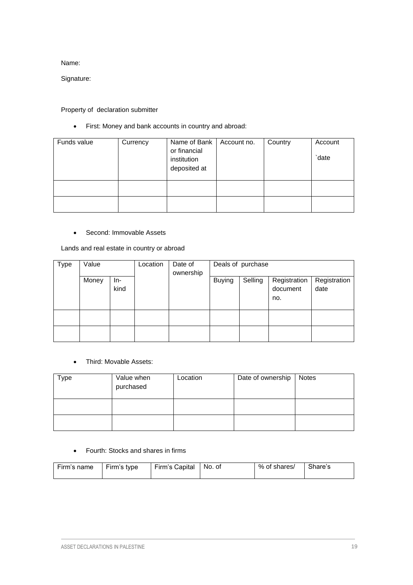Name:

Signature:

#### Property of declaration submitter

First: Money and bank accounts in country and abroad:

| Funds value | Currency | Name of Bank<br>or financial<br>institution<br>deposited at | Account no. | Country | Account<br>date |
|-------------|----------|-------------------------------------------------------------|-------------|---------|-----------------|
|             |          |                                                             |             |         |                 |
|             |          |                                                             |             |         |                 |

#### • Second: Immovable Assets

Lands and real estate in country or abroad

| Type | Value |             | Location | Date of<br>ownership |               | Deals of purchase |                                 |                      |
|------|-------|-------------|----------|----------------------|---------------|-------------------|---------------------------------|----------------------|
|      | Money | In-<br>kind |          |                      | <b>Buying</b> | Selling           | Registration<br>document<br>no. | Registration<br>date |
|      |       |             |          |                      |               |                   |                                 |                      |
|      |       |             |          |                      |               |                   |                                 |                      |

#### Third: Movable Assets:

| $_{Type}$ | Value when<br>purchased | Location | Date of ownership | <b>Notes</b> |
|-----------|-------------------------|----------|-------------------|--------------|
|           |                         |          |                   |              |
|           |                         |          |                   |              |

#### Fourth: Stocks and shares in firms

| Firm's name | Firm's type | Firm's Capital | l No. of | % of shares/ | Share's |
|-------------|-------------|----------------|----------|--------------|---------|
|             |             |                |          |              |         |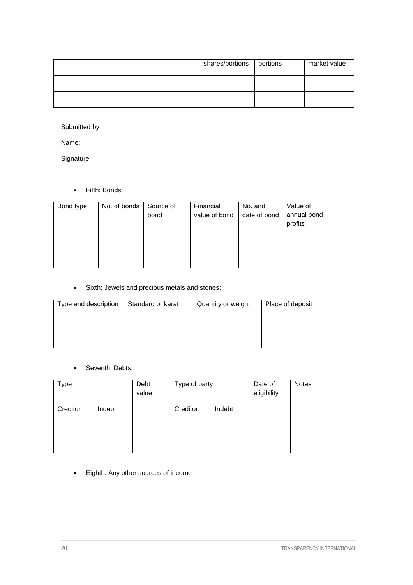|  | shares/portions | portions | market value |
|--|-----------------|----------|--------------|
|  |                 |          |              |
|  |                 |          |              |

Submitted by

Name:

Signature:

Fifth: Bonds:

| Bond type | No. of bonds | Source of | Financial     | No. and      | Value of               |
|-----------|--------------|-----------|---------------|--------------|------------------------|
|           |              | bond      | value of bond | date of bond | annual bond<br>profits |
|           |              |           |               |              |                        |
|           |              |           |               |              |                        |

Sixth: Jewels and precious metals and stones:

| Type and description | Standard or karat | Quantity or weight | Place of deposit |
|----------------------|-------------------|--------------------|------------------|
|                      |                   |                    |                  |
|                      |                   |                    |                  |

• Seventh: Debts:

| Type     |        | Debt<br>value | Type of party |        | Date of<br>eligibility | <b>Notes</b> |
|----------|--------|---------------|---------------|--------|------------------------|--------------|
| Creditor | Indebt |               | Creditor      | Indebt |                        |              |
|          |        |               |               |        |                        |              |
|          |        |               |               |        |                        |              |

Eighth: Any other sources of income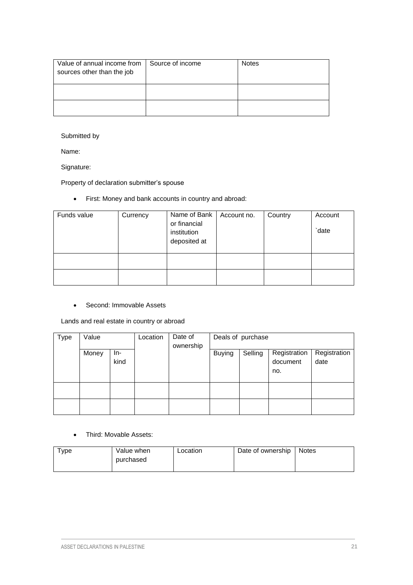| Value of annual income from<br>sources other than the job | Source of income | <b>Notes</b> |
|-----------------------------------------------------------|------------------|--------------|
|                                                           |                  |              |
|                                                           |                  |              |

#### Submitted by

Name:

Signature:

Property of declaration submitter's spouse

First: Money and bank accounts in country and abroad:

| Funds value | Currency | Name of Bank   Account no.<br>or financial<br>institution<br>deposited at | Country | Account<br>date |
|-------------|----------|---------------------------------------------------------------------------|---------|-----------------|
|             |          |                                                                           |         |                 |
|             |          |                                                                           |         |                 |

#### • Second: Immovable Assets

Lands and real estate in country or abroad

| Type | Value |             | Location | Date of<br>ownership |               | Deals of purchase |                                 |                      |
|------|-------|-------------|----------|----------------------|---------------|-------------------|---------------------------------|----------------------|
|      | Money | In-<br>kind |          |                      | <b>Buying</b> | Selling           | Registration<br>document<br>no. | Registration<br>date |
|      |       |             |          |                      |               |                   |                                 |                      |
|      |       |             |          |                      |               |                   |                                 |                      |

Third: Movable Assets:

| Type | Value when | Location | Date of ownership | <b>Notes</b> |
|------|------------|----------|-------------------|--------------|
|      | purchased  |          |                   |              |
|      |            |          |                   |              |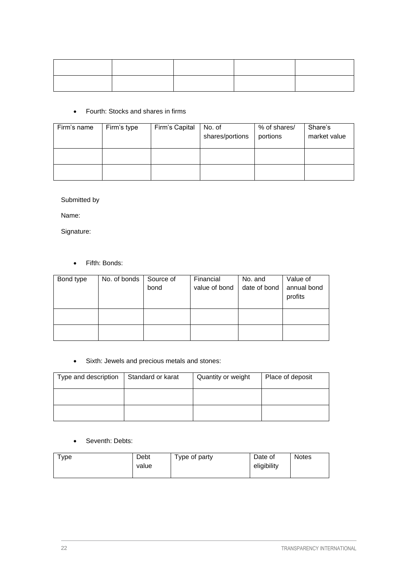#### Fourth: Stocks and shares in firms

| Firm's name | Firm's type | Firm's Capital | No. of<br>shares/portions | % of shares/<br>portions | Share's<br>market value |
|-------------|-------------|----------------|---------------------------|--------------------------|-------------------------|
|             |             |                |                           |                          |                         |
|             |             |                |                           |                          |                         |

Submitted by

Name:

Signature:

Fifth: Bonds:

| Bond type | No. of bonds   Source of |      | Financial     | No. and      | Value of               |
|-----------|--------------------------|------|---------------|--------------|------------------------|
|           |                          | bond | value of bond | date of bond | annual bond<br>profits |
|           |                          |      |               |              |                        |
|           |                          |      |               |              |                        |

Sixth: Jewels and precious metals and stones:

| Type and description | Standard or karat | Quantity or weight | Place of deposit |
|----------------------|-------------------|--------------------|------------------|
|                      |                   |                    |                  |
|                      |                   |                    |                  |

#### • Seventh: Debts:

| туре | Debt<br>value | Type of party | Date of<br>eligibility | <b>Notes</b> |
|------|---------------|---------------|------------------------|--------------|
|      |               |               |                        |              |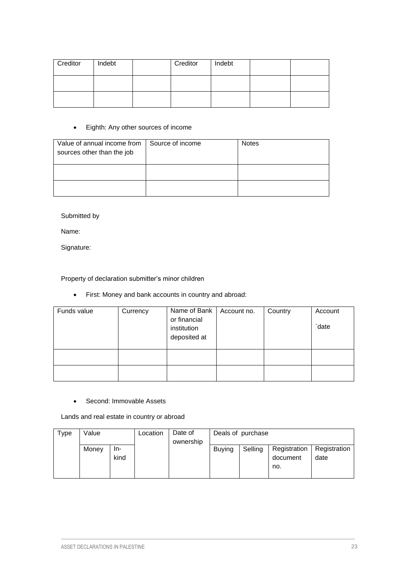| Creditor | Indebt | Creditor | Indebt |  |
|----------|--------|----------|--------|--|
|          |        |          |        |  |
|          |        |          |        |  |

#### Eighth: Any other sources of income

| Value of annual income from<br>sources other than the job | Source of income | <b>Notes</b> |
|-----------------------------------------------------------|------------------|--------------|
|                                                           |                  |              |
|                                                           |                  |              |

Submitted by

Name:

Signature:

Property of declaration submitter's minor children

First: Money and bank accounts in country and abroad:

| Funds value | Currency | Name of Bank<br>or financial<br>institution<br>deposited at | Account no. | Country | Account<br>date |
|-------------|----------|-------------------------------------------------------------|-------------|---------|-----------------|
|             |          |                                                             |             |         |                 |
|             |          |                                                             |             |         |                 |

#### • Second: Immovable Assets

Lands and real estate in country or abroad

| Type | Value |      | Location | Date of   |               | Deals of purchase |              |              |
|------|-------|------|----------|-----------|---------------|-------------------|--------------|--------------|
|      |       |      |          | ownership |               |                   |              |              |
|      | Money | In-  |          |           | <b>Buving</b> | Selling           | Registration | Registration |
|      |       | kind |          |           |               |                   | document     | date         |
|      |       |      |          |           |               |                   | no.          |              |
|      |       |      |          |           |               |                   |              |              |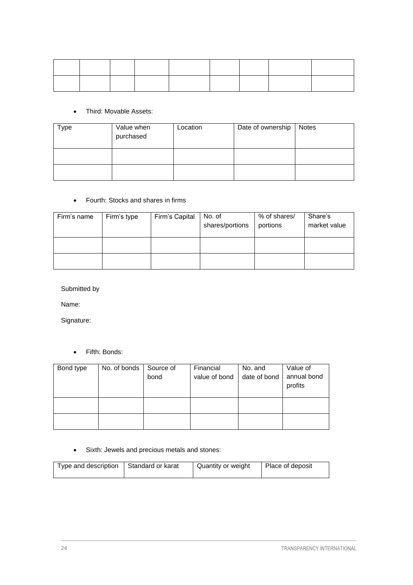#### Third: Movable Assets:

| <b>Type</b> | Value when<br>purchased | Location | Date of ownership | <b>Notes</b> |
|-------------|-------------------------|----------|-------------------|--------------|
|             |                         |          |                   |              |
|             |                         |          |                   |              |

#### Fourth: Stocks and shares in firms

| Firm's name | Firm's type | Firm's Capital | No. of<br>shares/portions | % of shares/<br>portions | Share's<br>market value |
|-------------|-------------|----------------|---------------------------|--------------------------|-------------------------|
|             |             |                |                           |                          |                         |
|             |             |                |                           |                          |                         |

Submitted by

Name:

Signature:

Fifth: Bonds:

| Bond type | No. of bonds   Source of | bond | Financial<br>value of bond | No. and<br>date of bond | Value of<br>annual bond<br>profits |
|-----------|--------------------------|------|----------------------------|-------------------------|------------------------------------|
|           |                          |      |                            |                         |                                    |

Sixth: Jewels and precious metals and stones:

| Type and description | Standard or karat | Quantity or weight | Place of deposit |
|----------------------|-------------------|--------------------|------------------|
|----------------------|-------------------|--------------------|------------------|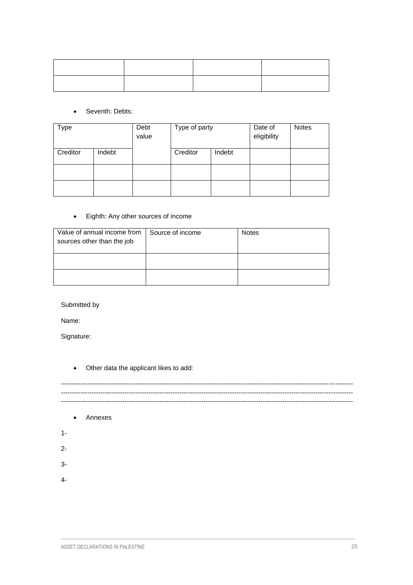#### • Seventh: Debts:

| <b>Type</b> |        | Debt<br>value | Type of party |        | Date of<br>eligibility | <b>Notes</b> |
|-------------|--------|---------------|---------------|--------|------------------------|--------------|
| Creditor    | Indebt |               | Creditor      | Indebt |                        |              |
|             |        |               |               |        |                        |              |
|             |        |               |               |        |                        |              |

#### Eighth: Any other sources of income

| Value of annual income from<br>sources other than the job | Source of income | <b>Notes</b> |
|-----------------------------------------------------------|------------------|--------------|
|                                                           |                  |              |
|                                                           |                  |              |

Submitted by

Name:

Signature:

Other data the applicant likes to add:

------------------------------------------------------------------------------------------------------------------------------------- ------------------------------------------------------------------------------------------------------------------------------------- -------------------------------------------------------------------------------------------------------------------------------------

- Annexes
- 1-
- 2-
- 3-
- 4-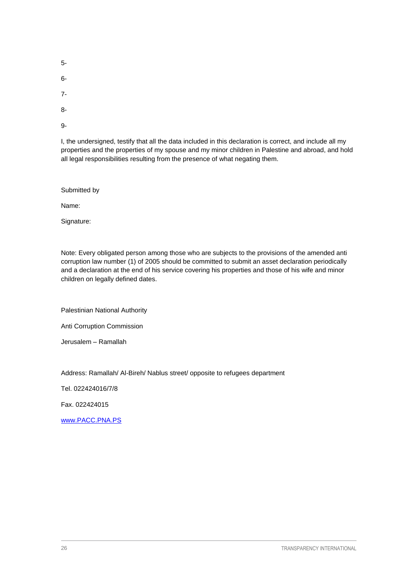5-

6-

7-

8-

9-

I, the undersigned, testify that all the data included in this declaration is correct, and include all my properties and the properties of my spouse and my minor children in Palestine and abroad, and hold all legal responsibilities resulting from the presence of what negating them.

Submitted by

Name:

Signature:

Note: Every obligated person among those who are subjects to the provisions of the amended anti corruption law number (1) of 2005 should be committed to submit an asset declaration periodically and a declaration at the end of his service covering his properties and those of his wife and minor children on legally defined dates.

Palestinian National Authority

Anti Corruption Commission

Jerusalem – Ramallah

Address: Ramallah/ Al-Bireh/ Nablus street/ opposite to refugees department

Tel. 022424016/7/8

Fax. 022424015

[www.PACC.PNA.PS](http://www.pacc.pna.ps/)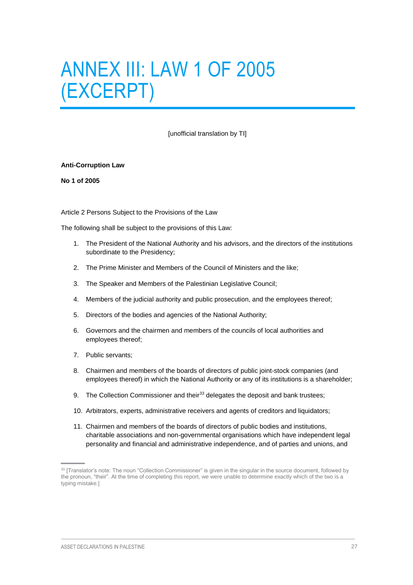## <span id="page-30-0"></span>ANNEX III: LAW 1 OF 2005 (EXCERPT)

[unofficial translation by TI]

#### **Anti-Corruption Law**

**No 1 of 2005**

Article 2 Persons Subject to the Provisions of the Law

The following shall be subject to the provisions of this Law:

- 1. The President of the National Authority and his advisors, and the directors of the institutions subordinate to the Presidency;
- 2. The Prime Minister and Members of the Council of Ministers and the like;
- 3. The Speaker and Members of the Palestinian Legislative Council;
- 4. Members of the judicial authority and public prosecution, and the employees thereof;
- 5. Directors of the bodies and agencies of the National Authority;
- 6. Governors and the chairmen and members of the councils of local authorities and employees thereof;
- 7. Public servants;
- 8. Chairmen and members of the boards of directors of public joint-stock companies (and employees thereof) in which the National Authority or any of its institutions is a shareholder;
- 9. The Collection Commissioner and their<sup>33</sup> delegates the deposit and bank trustees;
- 10. Arbitrators, experts, administrative receivers and agents of creditors and liquidators;
- 11. Chairmen and members of the boards of directors of public bodies and institutions, charitable associations and non-governmental organisations which have independent legal personality and financial and administrative independence, and of parties and unions, and

<sup>33 [</sup>Translator's note: The noun "Collection Commissioner" is given in the singular in the source document, followed by the pronoun, "their". At the time of completing this report, we were unable to determine exactly which of the two is a typing mistake.]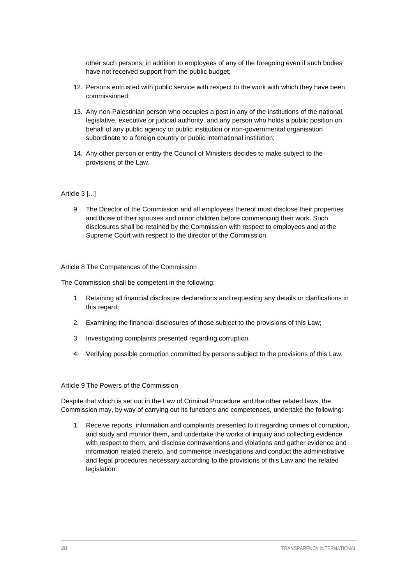other such persons, in addition to employees of any of the foregoing even if such bodies have not received support from the public budget;

- 12. Persons entrusted with public service with respect to the work with which they have been commissioned;
- 13. Any non-Palestinian person who occupies a post in any of the institutions of the national, legislative, executive or judicial authority, and any person who holds a public position on behalf of any public agency or public institution or non-governmental organisation subordinate to a foreign country or public international institution;
- 14. Any other person or entity the Council of Ministers decides to make subject to the provisions of the Law.

#### Article 3 [...]

9. The Director of the Commission and all employees thereof must disclose their properties and those of their spouses and minor children before commencing their work. Such disclosures shall be retained by the Commission with respect to employees and at the Supreme Court with respect to the director of the Commission.

Article 8 The Competences of the Commission

The Commission shall be competent in the following:

- 1. Retaining all financial disclosure declarations and requesting any details or clarifications in this regard;
- 2. Examining the financial disclosures of those subject to the provisions of this Law;
- 3. Investigating complaints presented regarding corruption.
- 4. Verifying possible corruption committed by persons subject to the provisions of this Law.

#### Article 9 The Powers of the Commission

Despite that which is set out in the Law of Criminal Procedure and the other related laws, the Commission may, by way of carrying out its functions and competences, undertake the following:

1. Receive reports, information and complaints presented to it regarding crimes of corruption, and study and monitor them, and undertake the works of inquiry and collecting evidence with respect to them, and disclose contraventions and violations and gather evidence and information related thereto, and commence investigations and conduct the administrative and legal procedures necessary according to the provisions of this Law and the related legislation.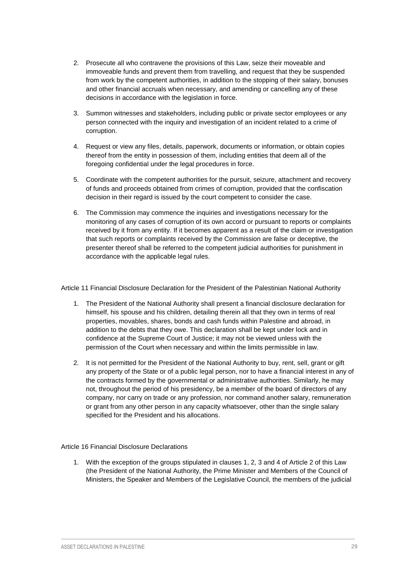- 2. Prosecute all who contravene the provisions of this Law, seize their moveable and immoveable funds and prevent them from travelling, and request that they be suspended from work by the competent authorities, in addition to the stopping of their salary, bonuses and other financial accruals when necessary, and amending or cancelling any of these decisions in accordance with the legislation in force.
- 3. Summon witnesses and stakeholders, including public or private sector employees or any person connected with the inquiry and investigation of an incident related to a crime of corruption.
- 4. Request or view any files, details, paperwork, documents or information, or obtain copies thereof from the entity in possession of them, including entities that deem all of the foregoing confidential under the legal procedures in force.
- 5. Coordinate with the competent authorities for the pursuit, seizure, attachment and recovery of funds and proceeds obtained from crimes of corruption, provided that the confiscation decision in their regard is issued by the court competent to consider the case.
- 6. The Commission may commence the inquiries and investigations necessary for the monitoring of any cases of corruption of its own accord or pursuant to reports or complaints received by it from any entity. If it becomes apparent as a result of the claim or investigation that such reports or complaints received by the Commission are false or deceptive, the presenter thereof shall be referred to the competent judicial authorities for punishment in accordance with the applicable legal rules.

Article 11 Financial Disclosure Declaration for the President of the Palestinian National Authority

- 1. The President of the National Authority shall present a financial disclosure declaration for himself, his spouse and his children, detailing therein all that they own in terms of real properties, movables, shares, bonds and cash funds within Palestine and abroad, in addition to the debts that they owe. This declaration shall be kept under lock and in confidence at the Supreme Court of Justice; it may not be viewed unless with the permission of the Court when necessary and within the limits permissible in law.
- 2. It is not permitted for the President of the National Authority to buy, rent, sell, grant or gift any property of the State or of a public legal person, nor to have a financial interest in any of the contracts formed by the governmental or administrative authorities. Similarly, he may not, throughout the period of his presidency, be a member of the board of directors of any company, nor carry on trade or any profession, nor command another salary, remuneration or grant from any other person in any capacity whatsoever, other than the single salary specified for the President and his allocations.

Article 16 Financial Disclosure Declarations

1. With the exception of the groups stipulated in clauses 1, 2, 3 and 4 of Article 2 of this Law (the President of the National Authority, the Prime Minister and Members of the Council of Ministers, the Speaker and Members of the Legislative Council, the members of the judicial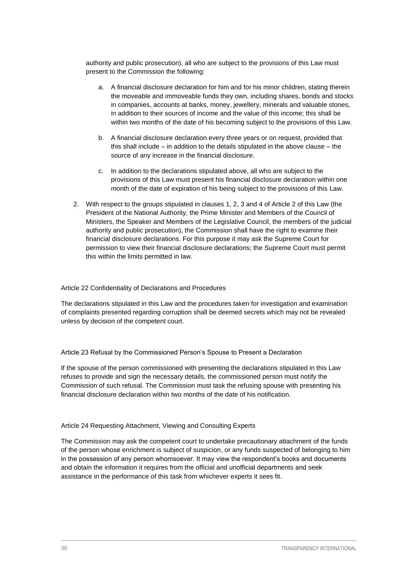authority and public prosecution), all who are subject to the provisions of this Law must present to the Commission the following:

- a. A financial disclosure declaration for him and for his minor children, stating therein the moveable and immoveable funds they own, including shares, bonds and stocks in companies, accounts at banks, money, jewellery, minerals and valuable stones, in addition to their sources of income and the value of this income; this shall be within two months of the date of his becoming subject to the provisions of this Law.
- b. A financial disclosure declaration every three years or on request, provided that this shall include – in addition to the details stipulated in the above clause – the source of any increase in the financial disclosure.
- c. In addition to the declarations stipulated above, all who are subject to the provisions of this Law must present his financial disclosure declaration within one month of the date of expiration of his being subject to the provisions of this Law.
- 2. With respect to the groups stipulated in clauses 1, 2, 3 and 4 of Article 2 of this Law (the President of the National Authority, the Prime Minister and Members of the Council of Ministers, the Speaker and Members of the Legislative Council, the members of the judicial authority and public prosecution), the Commission shall have the right to examine their financial disclosure declarations. For this purpose it may ask the Supreme Court for permission to view their financial disclosure declarations; the Supreme Court must permit this within the limits permitted in law.

#### Article 22 Confidentiality of Declarations and Procedures

The declarations stipulated in this Law and the procedures taken for investigation and examination of complaints presented regarding corruption shall be deemed secrets which may not be revealed unless by decision of the competent court.

#### Article 23 Refusal by the Commissioned Person's Spouse to Present a Declaration

If the spouse of the person commissioned with presenting the declarations stipulated in this Law refuses to provide and sign the necessary details, the commissioned person must notify the Commission of such refusal. The Commission must task the refusing spouse with presenting his financial disclosure declaration within two months of the date of his notification.

#### Article 24 Requesting Attachment, Viewing and Consulting Experts

The Commission may ask the competent court to undertake precautionary attachment of the funds of the person whose enrichment is subject of suspicion, or any funds suspected of belonging to him in the possession of any person whomsoever. It may view the respondent's books and documents and obtain the information it requires from the official and unofficial departments and seek assistance in the performance of this task from whichever experts it sees fit.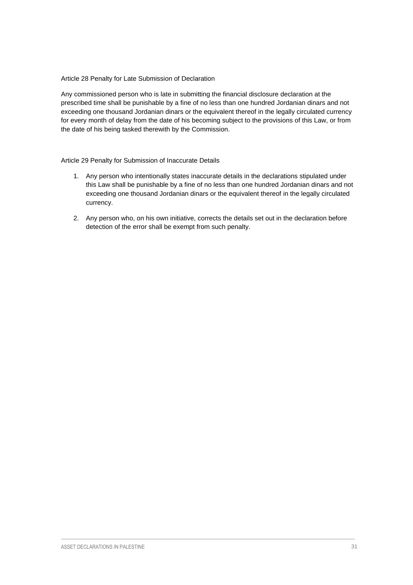Article 28 Penalty for Late Submission of Declaration

Any commissioned person who is late in submitting the financial disclosure declaration at the prescribed time shall be punishable by a fine of no less than one hundred Jordanian dinars and not exceeding one thousand Jordanian dinars or the equivalent thereof in the legally circulated currency for every month of delay from the date of his becoming subject to the provisions of this Law, or from the date of his being tasked therewith by the Commission.

Article 29 Penalty for Submission of Inaccurate Details

- 1. Any person who intentionally states inaccurate details in the declarations stipulated under this Law shall be punishable by a fine of no less than one hundred Jordanian dinars and not exceeding one thousand Jordanian dinars or the equivalent thereof in the legally circulated currency.
- 2. Any person who, on his own initiative, corrects the details set out in the declaration before detection of the error shall be exempt from such penalty.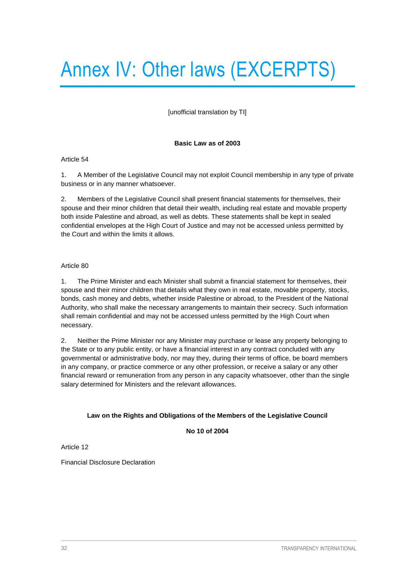# <span id="page-35-0"></span>Annex IV: Other laws (EXCERPTS)

[unofficial translation by TI]

#### **Basic Law as of 2003**

#### Article 54

1. A Member of the Legislative Council may not exploit Council membership in any type of private business or in any manner whatsoever.

2. Members of the Legislative Council shall present financial statements for themselves, their spouse and their minor children that detail their wealth, including real estate and movable property both inside Palestine and abroad, as well as debts. These statements shall be kept in sealed confidential envelopes at the High Court of Justice and may not be accessed unless permitted by the Court and within the limits it allows.

#### Article 80

1. The Prime Minister and each Minister shall submit a financial statement for themselves, their spouse and their minor children that details what they own in real estate, movable property, stocks, bonds, cash money and debts, whether inside Palestine or abroad, to the President of the National Authority, who shall make the necessary arrangements to maintain their secrecy. Such information shall remain confidential and may not be accessed unless permitted by the High Court when necessary.

2. Neither the Prime Minister nor any Minister may purchase or lease any property belonging to the State or to any public entity, or have a financial interest in any contract concluded with any governmental or administrative body, nor may they, during their terms of office, be board members in any company, or practice commerce or any other profession, or receive a salary or any other financial reward or remuneration from any person in any capacity whatsoever, other than the single salary determined for Ministers and the relevant allowances.

#### **Law on the Rights and Obligations of the Members of the Legislative Council**

**No 10 of 2004**

Article 12

Financial Disclosure Declaration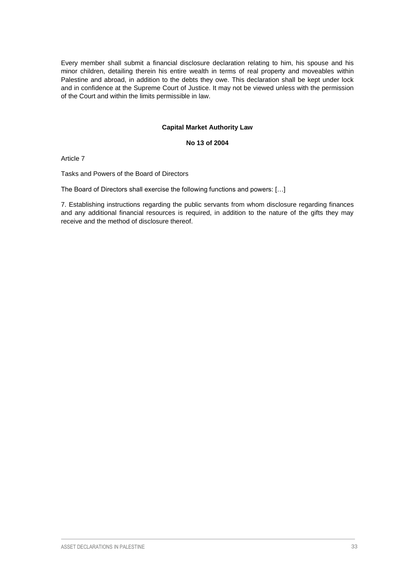Every member shall submit a financial disclosure declaration relating to him, his spouse and his minor children, detailing therein his entire wealth in terms of real property and moveables within Palestine and abroad, in addition to the debts they owe. This declaration shall be kept under lock and in confidence at the Supreme Court of Justice. It may not be viewed unless with the permission of the Court and within the limits permissible in law.

#### **Capital Market Authority Law**

#### **No 13 of 2004**

Article 7

Tasks and Powers of the Board of Directors

The Board of Directors shall exercise the following functions and powers: […]

7. Establishing instructions regarding the public servants from whom disclosure regarding finances and any additional financial resources is required, in addition to the nature of the gifts they may receive and the method of disclosure thereof.